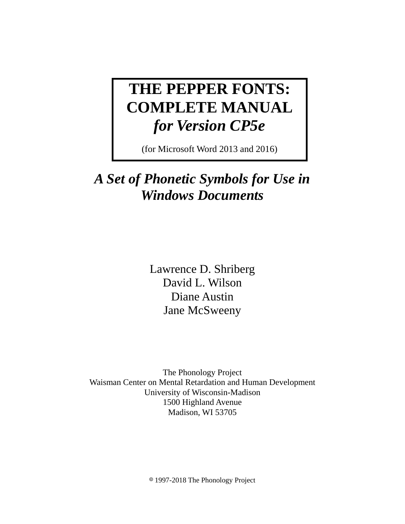# **THE PEPPER FONTS: COMPLETE MANUAL**  *for Version CP5e*

(for Microsoft Word 2013 and 2016)

# *A Set of Phonetic Symbols for Use in Windows Documents*

Lawrence D. Shriberg David L. Wilson Diane Austin Jane McSweeny

The Phonology Project Waisman Center on Mental Retardation and Human Development University of Wisconsin-Madison 1500 Highland Avenue Madison, WI 53705

8 1997-2018 The Phonology Project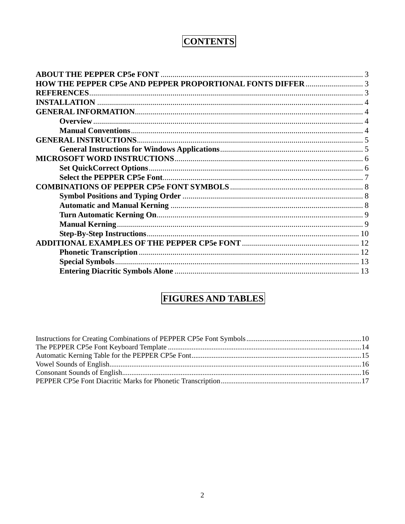# **CONTENTS**

| <b>REFERENCES</b> |  |
|-------------------|--|
|                   |  |
|                   |  |
|                   |  |
|                   |  |
|                   |  |
|                   |  |
|                   |  |
|                   |  |
|                   |  |
|                   |  |
|                   |  |
|                   |  |
|                   |  |
|                   |  |
|                   |  |
|                   |  |
|                   |  |
|                   |  |
|                   |  |
|                   |  |

# **FIGURES AND TABLES**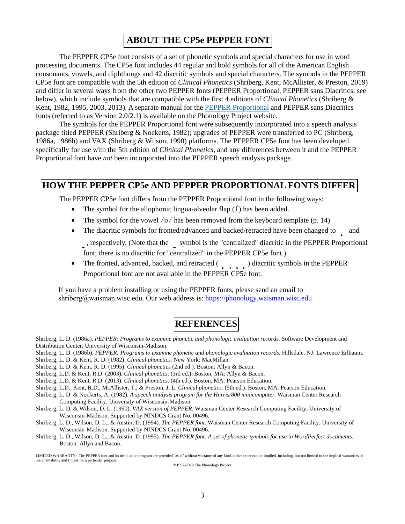#### **ABOUT THE CP5e PEPPER FONT**

The PEPPER CP5e font consists of a set of phonetic symbols and special characters for use in word processing documents. The CP5e font includes 44 regular and bold symbols for all of the American English consonants, vowels, and diphthongs and 42 diacritic symbols and special characters. The symbols in the PEPPER CP5e font are compatible with the 5th edition of *Clinical Phonetics* (Shriberg, Kent, McAllister, & Preston, 2019) and differ in several ways from the other two PEPPER fonts (PEPPER Proportional, PEPPER sans Diacritics, see below), which include symbols that are compatible with the first 4 editions of *Clinical Phonetics* (Shriberg & Kent, 1982, 1995, 2003, 2013). A separate manual for the [PEPPER Proportional](https://phonology.waisman.wisc.edu/wp-content/uploads/sites/532/2019/05/PEPF_REV_2018.pdf) and PEPPER sans Diacritics fonts (referred to as Version 2.0/2.1) is available on the Phonology Project website.

The symbols for the PEPPER Proportional font were subsequently incorporated into a speech analysis package titled PEPPER (Shriberg & Nockerts, 1982); upgrades of PEPPER were transferred to PC (Shriberg, 1986a, 1986b) and VAX (Shriberg & Wilson, 1990) platforms. The PEPPER CP5e font has been developed specifically for use with the 5th edition of *Clinical Phonetics*, and any differences between it and the PEPPER Proportional font have *not* been incorporated into the PEPPER speech analysis package.

#### **HOW THE PEPPER CP5e AND PEPPER PROPORTIONAL FONTS DIFFER**

The PEPPER CP5e font differs from the PEPPER Proportional font in the following ways:

- The symbol for the allophonic lingua-alveolar flap (**`**) has been added.
- The symbol for the vowel /**p**/ has been removed from the keyboard template (p. 14).
- The diacritic symbols for fronted/advanced and backed/retracted have been changed to and **S**, respectively. (Note that the **S** symbol is the "centralized" diacritic in the PEPPER Proportional

font; there is no diacritic for "centralized" in the PEPPER CP5e font.)

• The fronted, advanced, backed, and retracted ( **H**  $\sim$  **H**  $\sim$  **L**  $\sim$  ) diacritic symbols in the PEPPER Proportional font are not available in the PEPPER CP5e font.

If you have a problem installing or using the PEPPER fonts, please send an email to shriberg@waisman.wisc.edu. Our web address is: https://phonology.waisman.wisc.edu

### **REFERENCES**

Shriberg, L. D. (1986a). *PEPPER: Programs to examine phonetic and phonologic evaluation records.* Software Development and Distribution Center, University of Wisconsin-Madison.

Shriberg, L. D. (1986b). *PEPPER: Programs to examine phonetic and phonologic evaluation records.* Hillsdale, NJ: Lawrence Erlbaum.

Shriberg, L. D. & Kent, R. D. (1982). *Clinical phonetics.* New York: MacMillan.

Shriberg, L. D. & Kent, R. D. (1995). *Clinical phonetics* (2nd ed.). Boston: Allyn & Bacon.

Shriberg, L.D. & Kent, R.D. (2003). *Clinical phonetics.* (3rd ed.). Boston, MA: Allyn & Bacon.

Shriberg, L.D. & Kent, R.D. (2013). *Clinical phonetics.* (4th ed.). Boston, MA: Pearson Education.

Shriberg, L.D., Kent, R.D., McAllister, T., & Preston, J. L. *Clinical phonetics.* (5th ed.). Boston, MA: Pearson Education.

- Shriberg, L. D. & Nockerts, A. (1982). *A speech analysis program for the Harris/800 minicomputer.* Waisman Center Research Computing Facility, University of Wisconsin-Madison.
- Shriberg, L. D. & Wilson, D. L. (1990). *VAX version of PEPPER.* Waisman Center Research Computing Facility, University of Wisconsin-Madison. Supported by NINDCS Grant No. 00496.
- Shriberg, L. D., Wilson, D. L., & Austin, D. (1994). *The PEPPER font.* Waisman Center Research Computing Facility, University of Wisconsin-Madison. Supported by NINDCS Grant No. 00496.
- Shriberg, L. D., Wilson, D. L., & Austin, D. (1995). *The PEPPER font: A set of phonetic symbols for use in WordPerfect documents.* Boston: Allyn and Bacon.

8 1997-2018 The Phonology Project

LIMITED WARRANTY: The PEPPER font and its installation program are provided "as is" without warranty of any kind, either expressed or implied, including, but not limited to the implied warranties of merchantability and fitness for a particular purpose.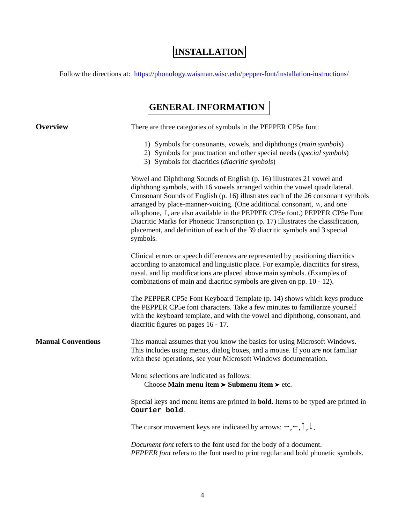# **INSTALLATION**

Follow the directions at: https://phonology.waisman.wisc.edu/pepper-font/installation-instructions/

## **GENERAL INFORMATION**

| <b>Overview</b>           | There are three categories of symbols in the PEPPER CP5e font:                                                                                                                                                                                                                                                                                                                                                                                                                                                                                                                         |
|---------------------------|----------------------------------------------------------------------------------------------------------------------------------------------------------------------------------------------------------------------------------------------------------------------------------------------------------------------------------------------------------------------------------------------------------------------------------------------------------------------------------------------------------------------------------------------------------------------------------------|
|                           | 1) Symbols for consonants, vowels, and diphthongs (main symbols)<br>2) Symbols for punctuation and other special needs (special symbols)<br>3) Symbols for diacritics (diacritic symbols)                                                                                                                                                                                                                                                                                                                                                                                              |
|                           | Vowel and Diphthong Sounds of English (p. 16) illustrates 21 vowel and<br>diphthong symbols, with 16 vowels arranged within the vowel quadrilateral.<br>Consonant Sounds of English (p. 16) illustrates each of the 26 consonant symbols<br>arranged by place-manner-voicing. (One additional consonant, $M$ , and one<br>allophone, L, are also available in the PEPPER CP5e font.) PEPPER CP5e Font<br>Diacritic Marks for Phonetic Transcription (p. 17) illustrates the classification,<br>placement, and definition of each of the 39 diacritic symbols and 3 special<br>symbols. |
|                           | Clinical errors or speech differences are represented by positioning diacritics<br>according to anatomical and linguistic place. For example, diacritics for stress,<br>nasal, and lip modifications are placed above main symbols. (Examples of<br>combinations of main and diacritic symbols are given on pp. 10 - 12).                                                                                                                                                                                                                                                              |
|                           | The PEPPER CP5e Font Keyboard Template (p. 14) shows which keys produce<br>the PEPPER CP5e font characters. Take a few minutes to familiarize yourself<br>with the keyboard template, and with the vowel and diphthong, consonant, and<br>diacritic figures on pages 16 - 17.                                                                                                                                                                                                                                                                                                          |
| <b>Manual Conventions</b> | This manual assumes that you know the basics for using Microsoft Windows.<br>This includes using menus, dialog boxes, and a mouse. If you are not familiar<br>with these operations, see your Microsoft Windows documentation.                                                                                                                                                                                                                                                                                                                                                         |
|                           | Menu selections are indicated as follows:<br>Choose Main menu item $\triangleright$ Submenu item $\triangleright$ etc.                                                                                                                                                                                                                                                                                                                                                                                                                                                                 |
|                           | Special keys and menu items are printed in <b>bold</b> . Items to be typed are printed in<br>Courier bold.                                                                                                                                                                                                                                                                                                                                                                                                                                                                             |
|                           | The cursor movement keys are indicated by arrows: $\rightarrow, \leftarrow, \uparrow, \downarrow$ .                                                                                                                                                                                                                                                                                                                                                                                                                                                                                    |
|                           | Document font refers to the font used for the body of a document.<br>PEPPER font refers to the font used to print regular and bold phonetic symbols.                                                                                                                                                                                                                                                                                                                                                                                                                                   |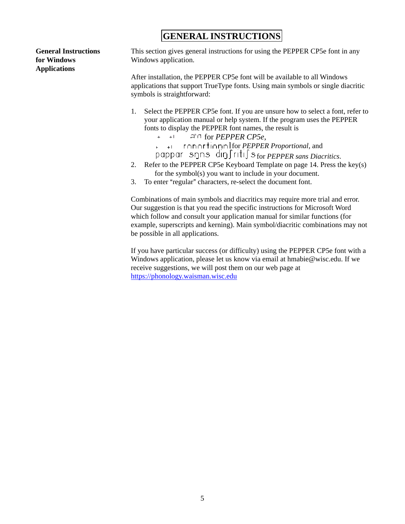### **GENERAL INSTRUCTIONS**

**General Instructions for Windows Applications**

This section gives general instructions for using the PEPPER CP5e font in any Windows application.

After installation, the PEPPER CP5e font will be available to all Windows applications that support TrueType fonts. Using main symbols or single diacritic symbols is straightforward:

- 1. Select the PEPPER CP5e font. If you are unsure how to select a font, refer to your application manual or help system. If the program uses the PEPPER fonts to display the PEPPER font names, the result is
	- $+$   $+$   $+$   $+$ for *PEPPER CP5e*,
	- for *PEPPER Proportional*, and  $+1$  $\ddot{\phantom{0}}$
	- for *PEPPER sans Diacritics*.
- 2. Refer to the PEPPER CP5e Keyboard Template on page 14. Press the key(s) for the symbol(s) you want to include in your document.
- 3. To enter "regular" characters, re-select the document font.

Combinations of main symbols and diacritics may require more trial and error. Our suggestion is that you read the specific instructions for Microsoft Word which follow and consult your application manual for similar functions (for example, superscripts and kerning). Main symbol/diacritic combinations may not be possible in all applications.

If you have particular success (or difficulty) using the PEPPER CP5e font with a Windows application, please let us know via email at hmabie@wisc.edu. If we receive suggestions, we will post them on our web page at https://phonology.waisman.wisc.edu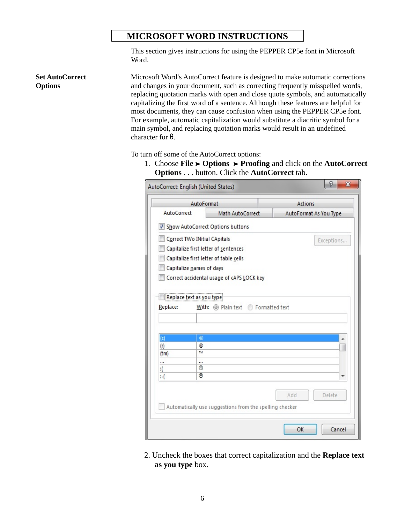#### **MICROSOFT WORD INSTRUCTIONS**

This section gives instructions for using the PEPPER CP5e font in Microsoft Word.

Microsoft Word's AutoCorrect feature is designed to make automatic corrections and changes in your document, such as correcting frequently misspelled words, replacing quotation marks with open and close quote symbols, and automatically capitalizing the first word of a sentence. Although these features are helpful for most documents, they can cause confusion when using the PEPPER CP5e font. For example, automatic capitalization would substitute a diacritic symbol for a main symbol, and replacing quotation marks would result in an undefined

To turn off some of the AutoCorrect options:

character for **θ**.

**Set AutoCorrect** 

**Options**

1. Choose **File** ' **Options** ' **Proofing** and click on the **AutoCorrect Options** . . . button. Click the **AutoCorrect** tab.

|             | AutoFormat                   |                                                         |     | Actions                |
|-------------|------------------------------|---------------------------------------------------------|-----|------------------------|
| AutoCorrect |                              | Math AutoCorrect                                        |     | AutoFormat As You Type |
| √           |                              | Show AutoCorrect Options buttons                        |     |                        |
|             | Correct TWo INitial CApitals |                                                         |     | Exceptions             |
|             |                              | Capitalize first letter of sentences                    |     |                        |
|             |                              | Capitalize first letter of table cells                  |     |                        |
|             | Capitalize names of days     |                                                         |     |                        |
|             |                              |                                                         |     |                        |
|             |                              | Correct accidental usage of cAPS LOCK key               |     |                        |
|             |                              |                                                         |     |                        |
|             | Replace text as you type     |                                                         |     |                        |
| Replace:    |                              | With: (a) Plain text P Formatted text                   |     |                        |
|             |                              |                                                         |     |                        |
|             |                              |                                                         |     |                        |
|             |                              |                                                         |     |                        |
|             |                              |                                                         |     |                        |
| d           | O                            |                                                         |     | ▲                      |
| (r)         | ®                            |                                                         |     |                        |
| (tm)        | TM                           |                                                         |     |                        |
| ш           | $\cdots$                     |                                                         |     |                        |
| 1           | 0                            |                                                         |     |                        |
| н.          | 0                            |                                                         |     |                        |
|             |                              |                                                         |     |                        |
|             |                              |                                                         |     |                        |
|             |                              |                                                         | Add | Delete                 |
|             |                              | Automatically use suggestions from the spelling checker |     |                        |

2. Uncheck the boxes that correct capitalization and the **Replace text as you type** box.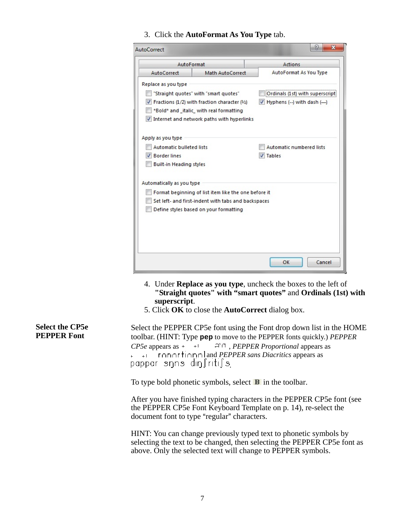3. Click the **AutoFormat As You Type** tab.

| AutoCorrect               |                                                      | P<br>х                                      |  |  |
|---------------------------|------------------------------------------------------|---------------------------------------------|--|--|
| AutoFormat                |                                                      | Actions                                     |  |  |
| AutoCorrect               | Math AutoCorrect                                     | AutoFormat As You Type                      |  |  |
| Replace as you type       |                                                      |                                             |  |  |
|                           | "Straight quotes" with "smart quotes"                | Ordinals (1st) with superscript             |  |  |
|                           | Fractions (1/2) with fraction character (1/2)        | $\triangledown$ Hyphens (--) with dash (--) |  |  |
|                           | *Bold* and italic with real formatting               |                                             |  |  |
|                           | Internet and network paths with hyperlinks           |                                             |  |  |
|                           |                                                      |                                             |  |  |
| Apply as you type         |                                                      |                                             |  |  |
| Automatic bulleted lists  |                                                      | Automatic numbered lists                    |  |  |
| <b>Border lines</b>       |                                                      | <b>V</b> Tables                             |  |  |
| Built-in Heading styles   |                                                      |                                             |  |  |
| Automatically as you type |                                                      |                                             |  |  |
|                           | Format beginning of list item like the one before it |                                             |  |  |
|                           | Set left- and first-indent with tabs and backspaces  |                                             |  |  |
|                           | Define styles based on your formatting               |                                             |  |  |
|                           |                                                      |                                             |  |  |
|                           |                                                      |                                             |  |  |
|                           |                                                      |                                             |  |  |
|                           |                                                      |                                             |  |  |
|                           |                                                      | Cancel<br>OK                                |  |  |
|                           |                                                      |                                             |  |  |

- 4. Under **Replace as you type**, uncheck the boxes to the left of **"Straight quotes" with "smart quotes"** and **Ordinals (1st) with superscript**.
- 5. Click **OK** to close the **AutoCorrect** dialog box.

 Select the PEPPER CP5e font using the Font drop down list in the HOME **PEPPER Font** toolbar. (HINT: Type **pep** to move to the PEPPER fonts quickly.) *PEPPER CP5e* appears as  $\rightarrow$   $\rightarrow$   $\rightarrow$   $\rightarrow$   $\rightarrow$  *PEPPER Proportional* appears as and *PEPPER sans Diacritics* appears as  $\mathbf{r}$ .goppar snns din∫riti∫s

To type bold phonetic symbols, select  $\mathbf{B}$  in the toolbar.

After you have finished typing characters in the PEPPER CP5e font (see the PEPPER CP5e Font Keyboard Template on p. 14), re-select the document font to type "regular" characters.

HINT: You can change previously typed text to phonetic symbols by selecting the text to be changed, then selecting the PEPPER CP5e font as above. Only the selected text will change to PEPPER symbols.

# **Select the CP5e**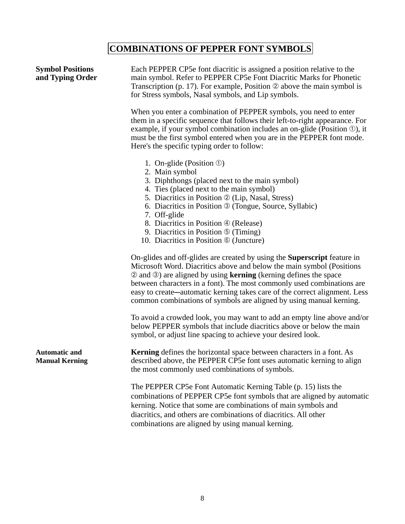# **COMBINATIONS OF PEPPER FONT SYMBOLS**

| <b>Symbol Positions</b><br>and Typing Order   | Each PEPPER CP5e font diacritic is assigned a position relative to the<br>main symbol. Refer to PEPPER CP5e Font Diacritic Marks for Phonetic<br>Transcription (p. 17). For example, Position $\oslash$ above the main symbol is<br>for Stress symbols, Nasal symbols, and Lip symbols.                                                                                                                                                                                                       |  |  |  |  |
|-----------------------------------------------|-----------------------------------------------------------------------------------------------------------------------------------------------------------------------------------------------------------------------------------------------------------------------------------------------------------------------------------------------------------------------------------------------------------------------------------------------------------------------------------------------|--|--|--|--|
|                                               | When you enter a combination of PEPPER symbols, you need to enter<br>them in a specific sequence that follows their left-to-right appearance. For<br>example, if your symbol combination includes an on-glide (Position $\Phi$ ), it<br>must be the first symbol entered when you are in the PEPPER font mode.<br>Here's the specific typing order to follow:                                                                                                                                 |  |  |  |  |
|                                               | 1. On-glide (Position $\mathcal{D}$ )<br>2. Main symbol<br>3. Diphthongs (placed next to the main symbol)<br>4. Ties (placed next to the main symbol)<br>5. Diacritics in Position 2 (Lip, Nasal, Stress)<br>6. Diacritics in Position <sup>3</sup> (Tongue, Source, Syllabic)<br>7. Off-glide<br>8. Diacritics in Position 4 (Release)<br>9. Diacritics in Position <b>5</b> (Timing)<br>10. Diacritics in Position ® (Juncture)                                                             |  |  |  |  |
|                                               | On-glides and off-glides are created by using the <b>Superscript</b> feature in<br>Microsoft Word. Diacritics above and below the main symbol (Positions<br>$\circledcirc$ and $\circledcirc$ ) are aligned by using <b>kerning</b> (kerning defines the space<br>between characters in a font). The most commonly used combinations are<br>easy to create—automatic kerning takes care of the correct alignment. Less<br>common combinations of symbols are aligned by using manual kerning. |  |  |  |  |
|                                               | To avoid a crowded look, you may want to add an empty line above and/or<br>below PEPPER symbols that include diacritics above or below the main<br>symbol, or adjust line spacing to achieve your desired look.                                                                                                                                                                                                                                                                               |  |  |  |  |
| <b>Automatic and</b><br><b>Manual Kerning</b> | Kerning defines the horizontal space between characters in a font. As<br>described above, the PEPPER CP5e font uses automatic kerning to align<br>the most commonly used combinations of symbols.                                                                                                                                                                                                                                                                                             |  |  |  |  |
|                                               | The PEPPER CP5e Font Automatic Kerning Table (p. 15) lists the<br>combinations of PEPPER CP5e font symbols that are aligned by automatic<br>kerning. Notice that some are combinations of main symbols and<br>diacritics, and others are combinations of diacritics. All other<br>combinations are aligned by using manual kerning.                                                                                                                                                           |  |  |  |  |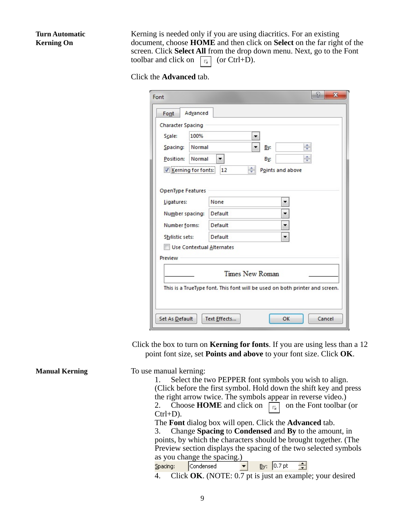#### **Turn Automatic Kerning On**

Kerning is needed only if you are using diacritics. For an existing document, choose **HOME** and then click on **Select** on the far right of the screen. Click **Select All** from the drop down menu. Next, go to the Font toolbar and click on  $\boxed{\Box}$  (or Ctrl+D).

Click the **Advanced** tab.

| Font                      | 8<br>X                                                                      |
|---------------------------|-----------------------------------------------------------------------------|
| Advanced<br>Font          |                                                                             |
| <b>Character Spacing</b>  |                                                                             |
| 100%<br>Scale:            |                                                                             |
| Spacing:<br>Normal        | ÷<br>By:                                                                    |
| Normal<br>Position:       | ÷<br>By:                                                                    |
| Kerning for fonts:        | ÷<br>12<br>Points and above                                                 |
|                           |                                                                             |
| OpenType Features         |                                                                             |
| Ligatures:                | None                                                                        |
| Number spacing:           | Default<br>▼                                                                |
| Number forms:             | Default<br>▼                                                                |
| Stylistic sets:           | Default                                                                     |
| Use Contextual Alternates |                                                                             |
| Preview                   |                                                                             |
|                           | <b>Times New Roman</b>                                                      |
|                           |                                                                             |
|                           | This is a TrueType font. This font will be used on both printer and screen. |
|                           |                                                                             |
| Set As Default            | OK<br>Cancel<br>Text Effects                                                |

Click the box to turn on **Kerning for fonts**. If you are using less than a 12 point font size, set **Points and above** to your font size. Click **OK**.

**Manual Kerning** To use manual kerning: 1. Select the two PEPPER font symbols you wish to align. (Click before the first symbol. Hold down the shift key and press the right arrow twice. The symbols appear in reverse video.) 2. Choose **HOME** and click on  $\boxed{\Box}$  on the Font toolbar (or Ctrl+D). The **Font** dialog box will open. Click the **Advanced** tab. 3. Change **Spacing** to **Condensed** and **By** to the amount, in points, by which the characters should be brought together. (The Preview section displays the spacing of the two selected symbols as you change the spacing.)  $S$ pacing: Condensed  $By: 0.7pt$ 슬  $\vert \cdot \vert$ 4. Click **OK**. (NOTE: 0.7 pt is just an example; your desired9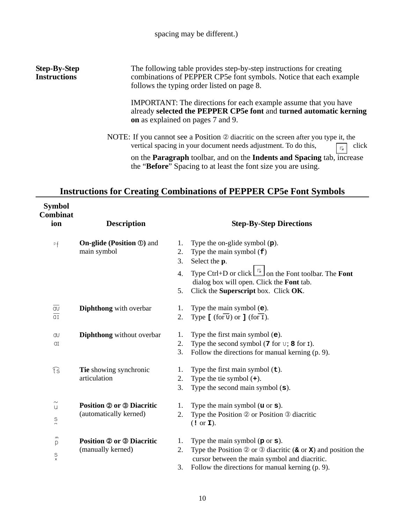#### **Step-By-Step Instructions**

The following table provides step-by-step instructions for creating combinations of PEPPER CP5e font symbols. Notice that each example follows the typing order listed on page 8.

IMPORTANT: The directions for each example assume that you have already **selected the PEPPER CP5e font** and **turned automatic kerning on** as explained on pages 7 and 9.

NOTE: If you cannot see a Position  $\oslash$  diacritic on the screen after you type it, the vertical spacing in your document needs adjustment. To do this,  $\boxed{\phantom{a}}$  click

on the **Paragraph** toolbar, and on the **Indents and Spacing** tab, increase the "**Before**" Spacing to at least the font size you are using.

#### **Instructions for Creating Combinations of PEPPER CP5e Font Symbols**

| <b>Symbol</b><br><b>Combinat</b><br>ion                      | <b>Description</b>                                         | <b>Step-By-Step Directions</b>                                                                                                                                                                                                                                                       |
|--------------------------------------------------------------|------------------------------------------------------------|--------------------------------------------------------------------------------------------------------------------------------------------------------------------------------------------------------------------------------------------------------------------------------------|
| Pf                                                           | <b>On-glide (Position 1)</b> and<br>main symbol            | Type the on-glide symbol $(p)$ .<br>1.<br>2.<br>Type the main symbol $(f)$<br>3.<br>Select the p.<br>Type Ctrl+D or click $\boxed{\phantom{a}}$ on the Font toolbar. The Font<br>4.<br>dialog box will open. Click the Font tab.<br>Click the Superscript box. Click OK.<br>5.       |
| $\overline{\mathrm{d} \mathrm{u}}$<br>$\overline{\text{d}1}$ | Diphthong with overbar                                     | Type the main symbol $(e)$ .<br>1.<br>Type $[(for \overline{v}) or ] (for \overline{1}).$<br>2.                                                                                                                                                                                      |
| Œ<br>αI                                                      | <b>Diphthong</b> without overbar                           | Type the first main symbol $(e)$ .<br>1.<br>Type the second symbol $(7$ for $\nu$ ; 8 for I).<br>2.<br>3.<br>Follow the directions for manual kerning (p. 9).                                                                                                                        |
| $\widehat{\mathfrak{t}}$ s                                   | Tie showing synchronic<br>articulation                     | Type the first main symbol $(\pm)$ .<br>1.<br>2.<br>Type the tie symbol $(+)$ .<br>3.<br>Type the second main symbol $(s)$ .                                                                                                                                                         |
| $\sim$<br>$\cup$<br>$\frac{S}{n}$                            | <b>Position 2 or 3 Diacritic</b><br>(automatically kerned) | Type the main symbol $(u \text{ or } s)$ .<br>1.<br>Type the Position 2 or Position 3 diacritic<br>2.<br>(1 or I).                                                                                                                                                                   |
| $\,$ $\,$<br>p<br>$\mathop{\mathsf{S}}\limits_{\mathsf{x}}$  | <b>Position 2 or 3 Diacritic</b><br>(manually kerned)      | Type the main symbol $(p \text{ or } s)$ .<br>1.<br>Type the Position $\circledcirc$ or $\circledcirc$ diacritic ( $\circledast$ or $\mathbf{x}$ ) and position the<br>2.<br>cursor between the main symbol and diacritic.<br>3.<br>Follow the directions for manual kerning (p. 9). |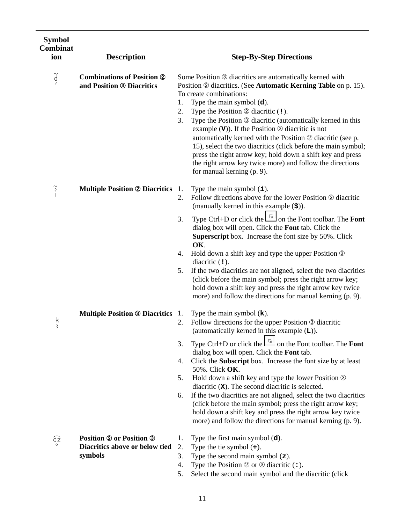| <b>Symbol</b><br><b>Combinat</b><br>ion | <b>Description</b>                                                           | <b>Step-By-Step Directions</b>                                                                                                                                                                                                                                                                                                                                                                                                                                                                                                                                                                                                                                                              |
|-----------------------------------------|------------------------------------------------------------------------------|---------------------------------------------------------------------------------------------------------------------------------------------------------------------------------------------------------------------------------------------------------------------------------------------------------------------------------------------------------------------------------------------------------------------------------------------------------------------------------------------------------------------------------------------------------------------------------------------------------------------------------------------------------------------------------------------|
| $\widetilde{d}$                         | <b>Combinations of Position 2</b><br>and Position <sup>®</sup> Diacritics    | Some Position 3 diacritics are automatically kerned with<br>Position 2 diacritics. (See Automatic Kerning Table on p. 15).<br>To create combinations:<br>Type the main symbol $(d)$ .<br>1.<br>2.<br>Type the Position $\oslash$ diacritic (!).<br>Type the Position <sup>®</sup> diacritic (automatically kerned in this<br>3.<br>example $(V)$ ). If the Position $\circledcirc$ diacritic is not<br>automatically kerned with the Position 2 diacritic (see p.<br>15), select the two diacritics (click before the main symbol;<br>press the right arrow key; hold down a shift key and press<br>the right arrow key twice more) and follow the directions<br>for manual kerning (p. 9). |
| $\widetilde{\cdot}$                     | <b>Multiple Position @ Diacritics</b> 1.                                     | Type the main symbol $(i)$ .<br>Follow directions above for the lower Position 2 diacritic<br>2.<br>(manually kerned in this example $(\$)$ ).<br>Type Ctrl+D or click the $\boxed{\phantom{a}}$ on the Font toolbar. The Font<br>3.<br>dialog box will open. Click the Font tab. Click the<br>Superscript box. Increase the font size by 50%. Click<br>OK.<br>Hold down a shift key and type the upper Position 2<br>4.<br>diacritic $(1)$ .                                                                                                                                                                                                                                               |
| k<br>x                                  | <b>Multiple Position ® Diacritics</b> 1.                                     | If the two diacritics are not aligned, select the two diacritics<br>5.<br>(click before the main symbol; press the right arrow key;<br>hold down a shift key and press the right arrow key twice<br>more) and follow the directions for manual kerning (p. 9).<br>Type the main symbol $(k)$ .<br>Follow directions for the upper Position 3 diacritic<br>2.<br>(automatically kerned in this example $(L)$ ).                                                                                                                                                                                                                                                                              |
|                                         |                                                                              | Type Ctrl+D or click the $\Box$ on the Font toolbar. The Font<br>3.<br>dialog box will open. Click the Font tab.<br>Click the <b>Subscript</b> box. Increase the font size by at least<br>4.<br>50%. Click OK.<br>Hold down a shift key and type the lower Position 3<br>5.<br>diacritic $(X)$ . The second diacritic is selected.<br>If the two diacritics are not aligned, select the two diacritics<br>6.<br>(click before the main symbol; press the right arrow key;<br>hold down a shift key and press the right arrow key twice<br>more) and follow the directions for manual kerning (p. 9).                                                                                        |
| Œ                                       | <b>Position 2 or Position 3</b><br>Diacritics above or below tied<br>symbols | Type the first main symbol $(d)$ .<br>1.<br>Type the tie symbol $(+)$ .<br>2.<br>Type the second main symbol $(z)$ .<br>3.<br>Type the Position $\circledcirc$ or $\circledcirc$ diacritic $($ :).<br>4.<br>Select the second main symbol and the diacritic (click<br>5.                                                                                                                                                                                                                                                                                                                                                                                                                    |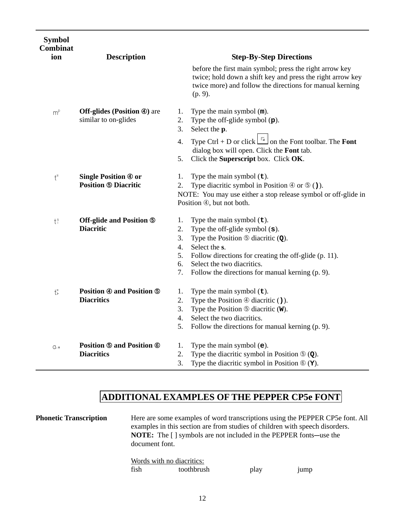| <b>Symbol</b><br><b>Combinat</b><br>ion | <b>Description</b>                                         | <b>Step-By-Step Directions</b>                                                                                                                                                                                                                                                                                                                            |
|-----------------------------------------|------------------------------------------------------------|-----------------------------------------------------------------------------------------------------------------------------------------------------------------------------------------------------------------------------------------------------------------------------------------------------------------------------------------------------------|
|                                         |                                                            | before the first main symbol; press the right arrow key<br>twice; hold down a shift key and press the right arrow key<br>twice more) and follow the directions for manual kerning<br>(p. 9).                                                                                                                                                              |
| $m^p$                                   | <b>Off-glides (Position 4)</b> are<br>similar to on-glides | Type the main symbol $(m)$ .<br>1.<br>2.<br>Type the off-glide symbol $(p)$ .<br>Select the p.<br>3.                                                                                                                                                                                                                                                      |
|                                         |                                                            | Type Ctrl + D or click $\boxed{\phantom{a}}$ on the Font toolbar. The Font<br>4.<br>dialog box will open. Click the Font tab.<br>5.<br>Click the Superscript box. Click OK.                                                                                                                                                                               |
| $\mathfrak{t}^{\mathfrak{s}}$           | <b>Single Position 4 or</b><br><b>Position ® Diacritic</b> | Type the main symbol $(\texttt{t})$ .<br>1.<br>2.<br>Type diacritic symbol in Position $\circled{0}$ or $\circled{0}$ ()).                                                                                                                                                                                                                                |
|                                         |                                                            | NOTE: You may use either a stop release symbol or off-glide in<br>Position 4, but not both.                                                                                                                                                                                                                                                               |
| $t^s$                                   | Off-glide and Position 5<br><b>Diacritic</b>               | Type the main symbol $(\pm)$ .<br>1.<br>2.<br>Type the off-glide symbol $(s)$ .<br>3.<br>Type the Position $\circledcirc$ diacritic ( $\circledcirc$ ).<br>$\overline{4}$ .<br>Select the s.<br>Follow directions for creating the off-glide (p. 11).<br>5.<br>Select the two diacritics.<br>6.<br>Follow the directions for manual kerning (p. 9).<br>7. |
| $t^{\frac{1}{2}}$                       | <b>Position 4 and Position 5</b><br><b>Diacritics</b>      | Type the main symbol $(\texttt{t})$ .<br>1.<br>2.<br>Type the Position $\Phi$ diacritic ().<br>3.<br>Type the Position $\circledcirc$ diacritic (W).<br>Select the two diacritics.<br>4.<br>5.<br>Follow the directions for manual kerning (p. 9).                                                                                                        |
| $Q: \uparrow$                           | <b>Position 5 and Position 6</b><br><b>Diacritics</b>      | Type the main symbol $(e)$ .<br>1.<br>Type the diacritic symbol in Position $\circledcirc$ (Q).<br>2.<br>3.<br>Type the diacritic symbol in Position $\circledast$ (Y).                                                                                                                                                                                   |

### **ADDITIONAL EXAMPLES OF THE PEPPER CP5e FONT**

**Phonetic Transcription** Here are some examples of word transcriptions using the PEPPER CP5e font. All examples in this section are from studies of children with speech disorders. **NOTE:** The [ ] symbols are not included in the PEPPER fonts-use the document font. Words with no diacritic

|      | words with no diacrities: |      |      |
|------|---------------------------|------|------|
| fish | toothbrush                | play | 1ump |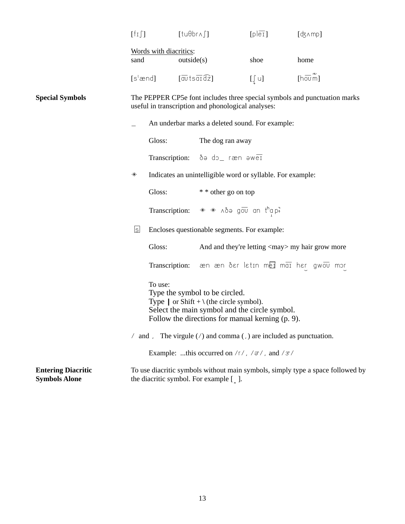|                                                   |                                                                                                                                                                                                      | $\lceil \frac{1}{1} \rceil$                     |                                                                                                | $[tu\theta br\land \int]$                                                                   | [ple1]                                                     | $[d3 \wedge mp]$                                                               |  |
|---------------------------------------------------|------------------------------------------------------------------------------------------------------------------------------------------------------------------------------------------------------|-------------------------------------------------|------------------------------------------------------------------------------------------------|---------------------------------------------------------------------------------------------|------------------------------------------------------------|--------------------------------------------------------------------------------|--|
|                                                   | Words with diacritics:<br>sand                                                                                                                                                                       |                                                 | outside(s)                                                                                     |                                                                                             | shoe                                                       | home                                                                           |  |
|                                                   | [s $^{\rm t}$ ænd]                                                                                                                                                                                   |                                                 | $\lceil \overline{\text{av}} \text{ts} \, \overline{\text{ar}} \, \overline{\text{d}z} \rceil$ |                                                                                             | $[\int u]$                                                 | [hovm]                                                                         |  |
| <b>Special Symbols</b>                            | The PEPPER CP5e font includes three special symbols and punctuation marks<br>useful in transcription and phonological analyses:                                                                      |                                                 |                                                                                                |                                                                                             |                                                            |                                                                                |  |
|                                                   |                                                                                                                                                                                                      | An underbar marks a deleted sound. For example: |                                                                                                |                                                                                             |                                                            |                                                                                |  |
|                                                   |                                                                                                                                                                                                      | Gloss:                                          |                                                                                                | The dog ran away                                                                            |                                                            |                                                                                |  |
|                                                   |                                                                                                                                                                                                      |                                                 |                                                                                                | Transcription: ðə do_ ræn əweī                                                              |                                                            |                                                                                |  |
|                                                   | $\ast$                                                                                                                                                                                               |                                                 |                                                                                                |                                                                                             | Indicates an unintelligible word or syllable. For example: |                                                                                |  |
|                                                   | Gloss:                                                                                                                                                                                               |                                                 |                                                                                                | * * other go on top                                                                         |                                                            |                                                                                |  |
|                                                   |                                                                                                                                                                                                      |                                                 |                                                                                                | Transcription: $* * \wedge \delta$ and $\overline{C}$ and $\overline{C}$ and $\overline{C}$ |                                                            |                                                                                |  |
|                                                   | <u>s</u>                                                                                                                                                                                             | Encloses questionable segments. For example:    |                                                                                                |                                                                                             |                                                            |                                                                                |  |
|                                                   |                                                                                                                                                                                                      | Gloss:                                          |                                                                                                | And and they're letting <may> my hair grow more</may>                                       |                                                            |                                                                                |  |
|                                                   |                                                                                                                                                                                                      |                                                 |                                                                                                |                                                                                             |                                                            | Transcription: æn æn ðer letin mei mai her gwou mor                            |  |
|                                                   | To use:<br>Type the symbol to be circled.<br>Type $ $ or Shift + $\langle$ (the circle symbol).<br>Select the main symbol and the circle symbol.<br>Follow the directions for manual kerning (p. 9). |                                                 |                                                                                                |                                                                                             |                                                            |                                                                                |  |
|                                                   |                                                                                                                                                                                                      |                                                 |                                                                                                | $\ell$ and , The virgule ( $\ell$ ) and comma (, ) are included as punctuation.             |                                                            |                                                                                |  |
|                                                   |                                                                                                                                                                                                      |                                                 |                                                                                                | Example: this occurred on $/r/$ , $/ \pi/$ , and $/ \pi/$                                   |                                                            |                                                                                |  |
| <b>Entering Diacritic</b><br><b>Symbols Alone</b> |                                                                                                                                                                                                      |                                                 |                                                                                                | the diacritic symbol. For example [].                                                       |                                                            | To use diacritic symbols without main symbols, simply type a space followed by |  |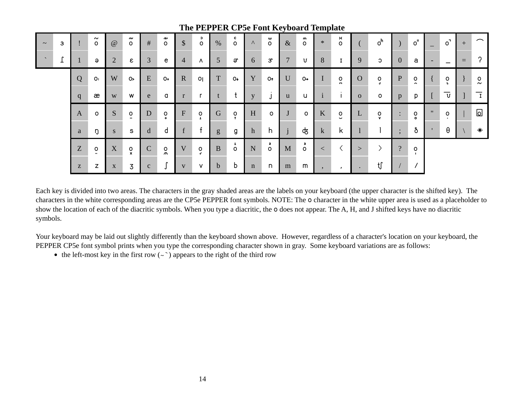| $\sim$ | 3            |   | $\sim\,$<br>$\circ$              | @              | ົ<br>$\circ$                  | #            | n<br>$\circ$    | $\sqrt{\ }$               | $\mathbf{c}$<br>$\circ$ | %              | c<br>$\circ$            | $\Lambda$    | w<br>$\circ$   | $\&$           | $\mathsf{m}$<br>$\circ$ | $\ast$       | ×<br>$\circ$              |              | O <sup>h</sup>          |                      | $\circ$ <sup><math>=</math></sup> | $\qquad \qquad =$        | $\circ$ <sup><math>\overline{\phantom{a}}</math></sup> | $+$ | $\widehat{\phantom{m}}$ |
|--------|--------------|---|----------------------------------|----------------|-------------------------------|--------------|-----------------|---------------------------|-------------------------|----------------|-------------------------|--------------|----------------|----------------|-------------------------|--------------|---------------------------|--------------|-------------------------|----------------------|-----------------------------------|--------------------------|--------------------------------------------------------|-----|-------------------------|
| $\sim$ | $\mathbf{r}$ |   | $\Theta$                         | $\overline{2}$ | ε                             | 3            | e               | $\overline{4}$            | Λ                       | 5 <sup>1</sup> | $\mathbf{a}$            | 6            | $\mathfrak{F}$ | $\overline{7}$ | U                       | 8            | $\mathbf I$               | 9            | C                       | $\overline{0}$       | a                                 | $\overline{\phantom{a}}$ |                                                        | $=$ | $\mathcal{P}$           |
|        |              | Q | <b>O:</b>                        | W              | $\circ$                       | E            | 0+              | $\mathbf{R}$              | 0                       | T              | $O^+$                   | Y            | O+             | $\mathbf U$    | $O \rightarrow$         | 1            | $\circ$<br>$\blacksquare$ | $\Omega$     | $\circ$<br>$\mathbf{I}$ | P                    | $\circ$<br>$\sim$                 |                          | $\circ$<br>$\mathbf{L}$                                |     | $\circ$<br>$\sim$       |
|        |              | q | æ                                | W              | W                             | e            | a               | r                         |                         |                | $\mathbf t$             | $\mathbf{V}$ |                | u              | u                       | $\mathbf{i}$ | $\ddot{1}$                | $\mathbf{0}$ | $\circ$                 | $p_{\parallel}$      | p                                 |                          | $\overline{\mathtt{v}}$                                |     | Ι.                      |
|        |              | A | $\circ$                          | S              | 0<br>$\overline{\phantom{0}}$ | ${\bf D}$    | o<br>$\ddot{+}$ | $\boldsymbol{\mathrm{F}}$ | O                       | $\mathbf G$    | $\circ$<br>$\mathbf{r}$ | H            | $\circ$        | J              | $\circ$                 | K            | $\overset{\circ}{\cdot}$  | L            | $\frac{0}{\mathsf{v}}$  | $\ddot{\cdot}$       | $\rm ^o$                          | $^{\prime\prime}$        | $\circ$                                                |     | ⊡                       |
|        |              | a | ŋ                                | <sub>S</sub>   | S                             | d            | d               | f                         | - 4                     | ${\sf g}$      | g                       | h            | h              | $\bullet$      | क्                      | $\mathbf k$  | k                         |              |                         | $\bullet$<br>$\cdot$ | ð                                 |                          | θ                                                      |     | $\ast$                  |
|        |              | Z | $\mathsf{o}$<br>$\bullet\bullet$ | X              | $\frac{0}{x}$                 | $\mathbf C$  | $\lambda$       | V                         | $\circ$                 | $\mathbf{B}$   | $\sigma$                | N            | $\int_{0}^{2}$ | M              | з<br>$\circ$            | $\lt$        |                           | >            |                         | $\overline{?}$       | $\circ$                           |                          |                                                        |     |                         |
|        |              | Z | z                                | $\mathbf{X}$   | 3                             | $\mathbf{C}$ |                 | $\mathbf{V}$              | $\vee$                  | $\mathbf b$    | b                       | $\mathbf n$  | n              | m              | m                       | $\cdot$      | $\cdot$                   | $\bullet$    | tf                      |                      |                                   |                          |                                                        |     |                         |

#### **The PEPPER CP5e Font Keyboard Template**

Each key is divided into two areas. The characters in the gray shaded areas are the labels on your keyboard (the upper character is the shifted key). The characters in the white corresponding areas are the CP5e PEPPER font symbols. NOTE: The **o** character in the white upper area is used as a placeholder to show the location of each of the diacritic symbols. When you type a diacritic, the **o** does not appear. The A, H, and J shifted keys have no diacritic symbols.

Your keyboard may be laid out slightly differently than the keyboard shown above. However, regardless of a character's location on your keyboard, the PEPPER CP5e font symbol prints when you type the corresponding character shown in gray. Some keyboard variations are as follows:

• the left-most key in the first row  $(\sim)$  appears to the right of the third row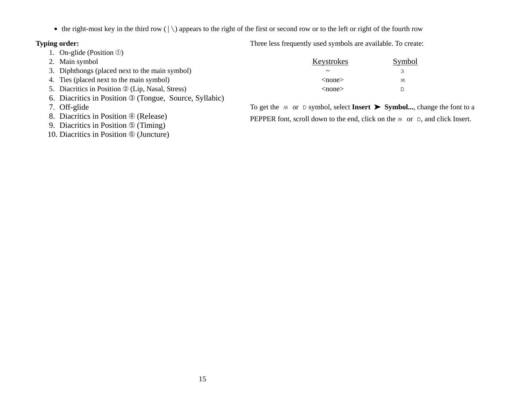$\bullet$  the right-most key in the third row ( $|\rangle$ ) appears to the right of the first or second row or to the left or right of the fourth row

#### **Typing order:**

- 1. On-glide (Position ①)
- 2. Main symbol
- 3. Diphthongs (placed next to the main symbol)
- 4. Ties (placed next to the main symbol)
- 5. Diacritics in Position  $\mathcal{D}$  (Lip, Nasal, Stress)
- 6. Diacritics in Position ä (Tongue, Source, Syllabic)
- 7. Off-glide
- 8. Diacritics in Position  $\circledA$  (Release)
- 9. Diacritics in Position  $\circled{$  (Timing)
- 10. Diacritics in Position  $\circledcirc$  (Juncture)

Three less frequently used symbols are available. To create:

| Keystrokes   | Symbol |
|--------------|--------|
|              | ੨      |
| $<$ none $>$ | W      |
| $<$ none $>$ |        |

To get the  $\land$  or  $\circ$  symbol, select **Insert**  $\triangleright$  **Symbol...**, change the font to a PEPPER font, scroll down to the end, click on the  $M$  or  $D$ , and click Insert.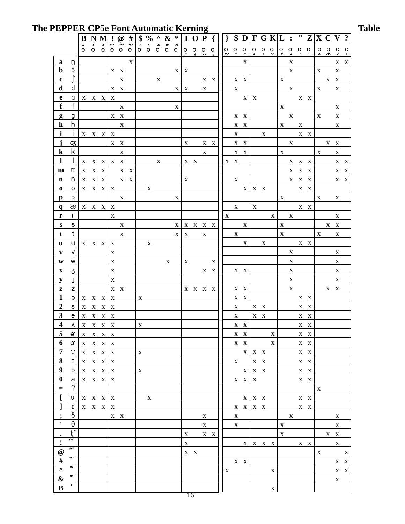## The PEPPER CP5e Font Automatic Kerning Table

| 0 0 0 0 0 0 0 0<br>$0.00$<br>$0.7 +$<br>$0\quad 0\quad 0\quad 0$<br>$0\quad 0\quad 0$<br>$\begin{array}{ccccccccc}\n0 & 0 & 0 & 0\n\end{array}$<br>$0\quad 0\quad 0\quad 0\quad 0$<br>$\circ$<br>$\circ$<br>$\hat{\phantom{a}}$<br>$\mathbf X$<br>X<br>X<br><u>a</u><br><u>n</u><br>b<br>$\mathbf b$<br>$\mathbf{X}-\mathbf{X}$<br>$\mathbf X$<br>X<br>X.<br>$\mathbf X$<br>$\mathbf{X}$<br>$\mathbf c$<br>X X<br>X<br>X X<br>$\mathbf{X}$<br>$\mathbf{X}$<br>X X<br>d<br>d<br>$X - X$<br>$\mathbf X$<br>$\mathbf X$<br>$\mathbf{X}$<br>$\mathbf{X}$<br>$\mathbf X$<br>X<br>$\mathbf{X}$<br>e<br>a<br>$X$ $X$ $X$<br>$\mathbf X$<br>$\mathbf X$<br>$\mathbf X$<br>$X$ $X$<br>$\mathsf{f}$<br>f<br>$\mathbf X$<br>X<br>$\mathbf{X}$<br>X<br>$\mathbf{g}$<br>$\mathbf{X}-\mathbf{X}$<br>$\mathbf{X}$<br>$\mathbf{X}$<br>$\mathbf X$<br><u>g</u><br>$X - X$<br>h<br>$\mathbf h$<br>$\mathbf{X}$<br>$X - X$<br>$\mathbf{X}$<br>$\mathbf X$<br>X<br>i<br>$X$ $X$<br>$\mathbf{I}$<br>$\mathbf{X} = \mathbf{X} - \mathbf{X} - \mathbf{X}$<br>X<br>X<br>d3<br>j<br>$X$ $X$<br>X X<br>X<br>$X \tX$<br>X X<br>$\mathbf{X}$<br>k.<br>$\bf k$<br>$\mathbf X$<br>$\mathbf X$<br>$\mathbf X$<br>$X \tX$<br>$\mathbf X$<br>$\mathbf{X}$<br>1<br>$\mathbf{X} = \mathbf{X} - \mathbf{X}$<br>X X X X X<br>X<br>X X<br>X X<br>m<br>m<br>$X$ $X$ $X$<br>X X<br>X X X<br>n<br>$X$ $X$ $X$<br>X<br>$X$ $X$ $X$<br>$\mathbf n$<br>$X \tX$<br>X<br>0<br>$X$ $X$ $X$<br>$\bf{0}$<br>X X<br>$X \times X \times X$<br>X<br>p<br>$\mathbf{X}$<br>$\mathbf{X}$<br>$\mathbf{X}$<br>X<br>X<br>p<br>æ<br>X<br>$\mathbf{X}$<br>$X$ $X$<br>q<br>X X X X<br>$\mathbf X$<br>r<br>r<br>$\mathbf{X}$<br>$\mathbf{X}$<br>X<br>X<br>s<br>${\bf S}$<br>$\mathbf{X}-\mathbf{X}$<br>$\mathbf X$<br>$\begin{array}{ccccc} \mathbf{X} & \mathbf{X} & \mathbf{X} & \mathbf{X} \end{array}$<br>X<br>X<br>X<br>t<br>t<br>$\mathbf X$<br>X<br>X<br>X<br>$\mathbf{X}$<br>$\mathbf{X}$<br>X<br>X<br>u<br>u<br>$\mathbf X$<br>$X \times X$<br>X<br>X<br>X<br>$X \times X$<br>۷<br>V<br>$\mathbf X$<br>X<br>X<br>W<br>$\mathbf X$<br>$\mathbf X$<br>$\mathbf X$<br>W<br>X<br>X<br>X<br>$\overline{3}$<br>$\mathbf X$<br>$\mathbf X$<br>$\mathbf X$<br>$\mathbf X$<br>X X<br>$X \tX$<br>y<br>$\mathbf X$<br>$\mathbf X$<br>X<br>z<br>$\mathbf{X}$<br>z<br>$X - X$<br>X X<br>$X \tX$<br>X X X X<br>1<br>ə<br>$X$ $X$ $X$<br>X<br>$\mathbf X$<br>X X<br>X X<br>$\boldsymbol{2}$<br>$\epsilon$<br>X<br>$\mathbf{X}-\mathbf{X}$<br>$\mathbf{X}-\mathbf{X}$<br>$X$ $X$ $X$<br>X<br>$\mathbf{3}$<br>$\mathsf{e}\,$<br>$\mathbf{X}-\mathbf{X}$<br>$X$ $X$ $X$<br>$\mathbf X$<br>$X$ X<br>$\mathbf X$<br>4<br>$\Lambda$<br>$X$ $X$ $X$<br>$\bold{X}$<br>$X - X$<br>X<br>X X<br>5<br>$\vartheta$<br>$\mathbf{X} = \mathbf{X} - \mathbf{X} - \mathbf{X}$<br>$X \tX$<br>$\mathbf{X}$<br>X X<br>6<br>$\mathfrak{S}$<br>$X - X$<br>$\mathbf{X}$<br>$X$ X<br>$X$ $X$ $X$<br>X<br>$\overline{7}$<br>$\mathsf{U}$<br>$X$ $X$ $X$<br>$\mathbf{X} = \mathbf{X} - \mathbf{X} - \mathbf{X}$<br>$\mathbf{X}$<br>$X$ $X$<br>8<br>$X - X$<br>$\mathbf{I}$<br>$\mathbf{X}$<br>X X<br>$X$ $X$ $X$<br>$\mathbf{X}$<br>$\boldsymbol{9}$<br>$\mathbb C$<br>$X \times X$<br>$\mathbf X$<br>$X \times X$<br>$\mathbf{X}$<br>$X$ $X$<br>$\bf{0}$<br>a<br>$X$ $X$ $X$<br>$X \times X$<br>X X<br>X<br>$\gamma$<br>$\quad =$<br>$\mathbf X$<br>$\mathtt{U}$<br>$X$ $X$ $X$ $X$<br>$X$ $X$ $X$<br>X<br>X X<br>$\overline{\textbf{I}}$<br>$X$ $X$ $X$<br>$X$ $X$ $X$ $X$<br>X<br>X X<br>ð<br>$\mathbf{X}$<br>X<br>X<br>X X<br>X<br>$\pmb{\mathsf{r}}$<br>θ<br>$\mathbf{X}$<br>X<br>$\mathbf{X}$<br>$\mathbf{X}$<br>tf<br>$\mathbf X$<br>$X$ $X$<br>$\mathbf X$<br>$X \tX$<br>$\bullet$<br>$\sim\,$<br>$\pmb{\cdot}$<br>$X$ $X$ $X$ $X$<br>$\mathbf{X}$<br>X<br>$X \times X$<br>ू<br>ट<br>@<br>$\mathbf X$<br>X X<br>$\overline{z}$<br>$\#$<br>$X \tX$<br>€<br>$\boldsymbol{\wedge}$<br>X<br>X<br>$\mathbf{u}$<br>$\pmb{\&}$<br>$\mathbf{X}$<br>$\mathbf{1}$ |              | B | N M | $\mathbf{I}$ |   |                |   |   |                         |   |   |  |  |  |  |             |  |  |  |                         |
|-------------------------------------------------------------------------------------------------------------------------------------------------------------------------------------------------------------------------------------------------------------------------------------------------------------------------------------------------------------------------------------------------------------------------------------------------------------------------------------------------------------------------------------------------------------------------------------------------------------------------------------------------------------------------------------------------------------------------------------------------------------------------------------------------------------------------------------------------------------------------------------------------------------------------------------------------------------------------------------------------------------------------------------------------------------------------------------------------------------------------------------------------------------------------------------------------------------------------------------------------------------------------------------------------------------------------------------------------------------------------------------------------------------------------------------------------------------------------------------------------------------------------------------------------------------------------------------------------------------------------------------------------------------------------------------------------------------------------------------------------------------------------------------------------------------------------------------------------------------------------------------------------------------------------------------------------------------------------------------------------------------------------------------------------------------------------------------------------------------------------------------------------------------------------------------------------------------------------------------------------------------------------------------------------------------------------------------------------------------------------------------------------------------------------------------------------------------------------------------------------------------------------------------------------------------------------------------------------------------------------------------------------------------------------------------------------------------------------------------------------------------------------------------------------------------------------------------------------------------------------------------------------------------------------------------------------------------------------------------------------------------------------------------------------------------------------------------------------------------------------------------------------------------------------------------------------------------------------------------------------------------------------------------------------------------------------------------------------------------------------------------------------------------------------------------------------------------------------------------------------------------------------------------------------------------------------------------------------------------------------------------------------------------------------------------------------------------------------------------------------------------------------------------------------------------------------------------------------------------------------------------------------------------------------------------------------------------------|--------------|---|-----|--------------|---|----------------|---|---|-------------------------|---|---|--|--|--|--|-------------|--|--|--|-------------------------|
|                                                                                                                                                                                                                                                                                                                                                                                                                                                                                                                                                                                                                                                                                                                                                                                                                                                                                                                                                                                                                                                                                                                                                                                                                                                                                                                                                                                                                                                                                                                                                                                                                                                                                                                                                                                                                                                                                                                                                                                                                                                                                                                                                                                                                                                                                                                                                                                                                                                                                                                                                                                                                                                                                                                                                                                                                                                                                                                                                                                                                                                                                                                                                                                                                                                                                                                                                                                                                                                                                                                                                                                                                                                                                                                                                                                                                                                                                                                                                                   |              |   |     | रे           | Š | $\overline{z}$ | þ | ट | $\overline{\mathsf{e}}$ | 3 | ੱ |  |  |  |  |             |  |  |  |                         |
|                                                                                                                                                                                                                                                                                                                                                                                                                                                                                                                                                                                                                                                                                                                                                                                                                                                                                                                                                                                                                                                                                                                                                                                                                                                                                                                                                                                                                                                                                                                                                                                                                                                                                                                                                                                                                                                                                                                                                                                                                                                                                                                                                                                                                                                                                                                                                                                                                                                                                                                                                                                                                                                                                                                                                                                                                                                                                                                                                                                                                                                                                                                                                                                                                                                                                                                                                                                                                                                                                                                                                                                                                                                                                                                                                                                                                                                                                                                                                                   |              |   |     |              |   |                |   |   |                         |   |   |  |  |  |  |             |  |  |  | X X                     |
|                                                                                                                                                                                                                                                                                                                                                                                                                                                                                                                                                                                                                                                                                                                                                                                                                                                                                                                                                                                                                                                                                                                                                                                                                                                                                                                                                                                                                                                                                                                                                                                                                                                                                                                                                                                                                                                                                                                                                                                                                                                                                                                                                                                                                                                                                                                                                                                                                                                                                                                                                                                                                                                                                                                                                                                                                                                                                                                                                                                                                                                                                                                                                                                                                                                                                                                                                                                                                                                                                                                                                                                                                                                                                                                                                                                                                                                                                                                                                                   |              |   |     |              |   |                |   |   |                         |   |   |  |  |  |  |             |  |  |  |                         |
|                                                                                                                                                                                                                                                                                                                                                                                                                                                                                                                                                                                                                                                                                                                                                                                                                                                                                                                                                                                                                                                                                                                                                                                                                                                                                                                                                                                                                                                                                                                                                                                                                                                                                                                                                                                                                                                                                                                                                                                                                                                                                                                                                                                                                                                                                                                                                                                                                                                                                                                                                                                                                                                                                                                                                                                                                                                                                                                                                                                                                                                                                                                                                                                                                                                                                                                                                                                                                                                                                                                                                                                                                                                                                                                                                                                                                                                                                                                                                                   |              |   |     |              |   |                |   |   |                         |   |   |  |  |  |  |             |  |  |  |                         |
|                                                                                                                                                                                                                                                                                                                                                                                                                                                                                                                                                                                                                                                                                                                                                                                                                                                                                                                                                                                                                                                                                                                                                                                                                                                                                                                                                                                                                                                                                                                                                                                                                                                                                                                                                                                                                                                                                                                                                                                                                                                                                                                                                                                                                                                                                                                                                                                                                                                                                                                                                                                                                                                                                                                                                                                                                                                                                                                                                                                                                                                                                                                                                                                                                                                                                                                                                                                                                                                                                                                                                                                                                                                                                                                                                                                                                                                                                                                                                                   |              |   |     |              |   |                |   |   |                         |   |   |  |  |  |  |             |  |  |  |                         |
|                                                                                                                                                                                                                                                                                                                                                                                                                                                                                                                                                                                                                                                                                                                                                                                                                                                                                                                                                                                                                                                                                                                                                                                                                                                                                                                                                                                                                                                                                                                                                                                                                                                                                                                                                                                                                                                                                                                                                                                                                                                                                                                                                                                                                                                                                                                                                                                                                                                                                                                                                                                                                                                                                                                                                                                                                                                                                                                                                                                                                                                                                                                                                                                                                                                                                                                                                                                                                                                                                                                                                                                                                                                                                                                                                                                                                                                                                                                                                                   |              |   |     |              |   |                |   |   |                         |   |   |  |  |  |  |             |  |  |  |                         |
|                                                                                                                                                                                                                                                                                                                                                                                                                                                                                                                                                                                                                                                                                                                                                                                                                                                                                                                                                                                                                                                                                                                                                                                                                                                                                                                                                                                                                                                                                                                                                                                                                                                                                                                                                                                                                                                                                                                                                                                                                                                                                                                                                                                                                                                                                                                                                                                                                                                                                                                                                                                                                                                                                                                                                                                                                                                                                                                                                                                                                                                                                                                                                                                                                                                                                                                                                                                                                                                                                                                                                                                                                                                                                                                                                                                                                                                                                                                                                                   |              |   |     |              |   |                |   |   |                         |   |   |  |  |  |  |             |  |  |  |                         |
|                                                                                                                                                                                                                                                                                                                                                                                                                                                                                                                                                                                                                                                                                                                                                                                                                                                                                                                                                                                                                                                                                                                                                                                                                                                                                                                                                                                                                                                                                                                                                                                                                                                                                                                                                                                                                                                                                                                                                                                                                                                                                                                                                                                                                                                                                                                                                                                                                                                                                                                                                                                                                                                                                                                                                                                                                                                                                                                                                                                                                                                                                                                                                                                                                                                                                                                                                                                                                                                                                                                                                                                                                                                                                                                                                                                                                                                                                                                                                                   |              |   |     |              |   |                |   |   |                         |   |   |  |  |  |  |             |  |  |  |                         |
|                                                                                                                                                                                                                                                                                                                                                                                                                                                                                                                                                                                                                                                                                                                                                                                                                                                                                                                                                                                                                                                                                                                                                                                                                                                                                                                                                                                                                                                                                                                                                                                                                                                                                                                                                                                                                                                                                                                                                                                                                                                                                                                                                                                                                                                                                                                                                                                                                                                                                                                                                                                                                                                                                                                                                                                                                                                                                                                                                                                                                                                                                                                                                                                                                                                                                                                                                                                                                                                                                                                                                                                                                                                                                                                                                                                                                                                                                                                                                                   |              |   |     |              |   |                |   |   |                         |   |   |  |  |  |  |             |  |  |  |                         |
|                                                                                                                                                                                                                                                                                                                                                                                                                                                                                                                                                                                                                                                                                                                                                                                                                                                                                                                                                                                                                                                                                                                                                                                                                                                                                                                                                                                                                                                                                                                                                                                                                                                                                                                                                                                                                                                                                                                                                                                                                                                                                                                                                                                                                                                                                                                                                                                                                                                                                                                                                                                                                                                                                                                                                                                                                                                                                                                                                                                                                                                                                                                                                                                                                                                                                                                                                                                                                                                                                                                                                                                                                                                                                                                                                                                                                                                                                                                                                                   |              |   |     |              |   |                |   |   |                         |   |   |  |  |  |  |             |  |  |  |                         |
|                                                                                                                                                                                                                                                                                                                                                                                                                                                                                                                                                                                                                                                                                                                                                                                                                                                                                                                                                                                                                                                                                                                                                                                                                                                                                                                                                                                                                                                                                                                                                                                                                                                                                                                                                                                                                                                                                                                                                                                                                                                                                                                                                                                                                                                                                                                                                                                                                                                                                                                                                                                                                                                                                                                                                                                                                                                                                                                                                                                                                                                                                                                                                                                                                                                                                                                                                                                                                                                                                                                                                                                                                                                                                                                                                                                                                                                                                                                                                                   |              |   |     |              |   |                |   |   |                         |   |   |  |  |  |  |             |  |  |  |                         |
|                                                                                                                                                                                                                                                                                                                                                                                                                                                                                                                                                                                                                                                                                                                                                                                                                                                                                                                                                                                                                                                                                                                                                                                                                                                                                                                                                                                                                                                                                                                                                                                                                                                                                                                                                                                                                                                                                                                                                                                                                                                                                                                                                                                                                                                                                                                                                                                                                                                                                                                                                                                                                                                                                                                                                                                                                                                                                                                                                                                                                                                                                                                                                                                                                                                                                                                                                                                                                                                                                                                                                                                                                                                                                                                                                                                                                                                                                                                                                                   |              |   |     |              |   |                |   |   |                         |   |   |  |  |  |  |             |  |  |  |                         |
|                                                                                                                                                                                                                                                                                                                                                                                                                                                                                                                                                                                                                                                                                                                                                                                                                                                                                                                                                                                                                                                                                                                                                                                                                                                                                                                                                                                                                                                                                                                                                                                                                                                                                                                                                                                                                                                                                                                                                                                                                                                                                                                                                                                                                                                                                                                                                                                                                                                                                                                                                                                                                                                                                                                                                                                                                                                                                                                                                                                                                                                                                                                                                                                                                                                                                                                                                                                                                                                                                                                                                                                                                                                                                                                                                                                                                                                                                                                                                                   |              |   |     |              |   |                |   |   |                         |   |   |  |  |  |  |             |  |  |  | $\mathbf{X}-\mathbf{X}$ |
|                                                                                                                                                                                                                                                                                                                                                                                                                                                                                                                                                                                                                                                                                                                                                                                                                                                                                                                                                                                                                                                                                                                                                                                                                                                                                                                                                                                                                                                                                                                                                                                                                                                                                                                                                                                                                                                                                                                                                                                                                                                                                                                                                                                                                                                                                                                                                                                                                                                                                                                                                                                                                                                                                                                                                                                                                                                                                                                                                                                                                                                                                                                                                                                                                                                                                                                                                                                                                                                                                                                                                                                                                                                                                                                                                                                                                                                                                                                                                                   |              |   |     |              |   |                |   |   |                         |   |   |  |  |  |  |             |  |  |  | X X                     |
|                                                                                                                                                                                                                                                                                                                                                                                                                                                                                                                                                                                                                                                                                                                                                                                                                                                                                                                                                                                                                                                                                                                                                                                                                                                                                                                                                                                                                                                                                                                                                                                                                                                                                                                                                                                                                                                                                                                                                                                                                                                                                                                                                                                                                                                                                                                                                                                                                                                                                                                                                                                                                                                                                                                                                                                                                                                                                                                                                                                                                                                                                                                                                                                                                                                                                                                                                                                                                                                                                                                                                                                                                                                                                                                                                                                                                                                                                                                                                                   |              |   |     |              |   |                |   |   |                         |   |   |  |  |  |  |             |  |  |  | X X                     |
|                                                                                                                                                                                                                                                                                                                                                                                                                                                                                                                                                                                                                                                                                                                                                                                                                                                                                                                                                                                                                                                                                                                                                                                                                                                                                                                                                                                                                                                                                                                                                                                                                                                                                                                                                                                                                                                                                                                                                                                                                                                                                                                                                                                                                                                                                                                                                                                                                                                                                                                                                                                                                                                                                                                                                                                                                                                                                                                                                                                                                                                                                                                                                                                                                                                                                                                                                                                                                                                                                                                                                                                                                                                                                                                                                                                                                                                                                                                                                                   |              |   |     |              |   |                |   |   |                         |   |   |  |  |  |  |             |  |  |  |                         |
|                                                                                                                                                                                                                                                                                                                                                                                                                                                                                                                                                                                                                                                                                                                                                                                                                                                                                                                                                                                                                                                                                                                                                                                                                                                                                                                                                                                                                                                                                                                                                                                                                                                                                                                                                                                                                                                                                                                                                                                                                                                                                                                                                                                                                                                                                                                                                                                                                                                                                                                                                                                                                                                                                                                                                                                                                                                                                                                                                                                                                                                                                                                                                                                                                                                                                                                                                                                                                                                                                                                                                                                                                                                                                                                                                                                                                                                                                                                                                                   |              |   |     |              |   |                |   |   |                         |   |   |  |  |  |  |             |  |  |  |                         |
|                                                                                                                                                                                                                                                                                                                                                                                                                                                                                                                                                                                                                                                                                                                                                                                                                                                                                                                                                                                                                                                                                                                                                                                                                                                                                                                                                                                                                                                                                                                                                                                                                                                                                                                                                                                                                                                                                                                                                                                                                                                                                                                                                                                                                                                                                                                                                                                                                                                                                                                                                                                                                                                                                                                                                                                                                                                                                                                                                                                                                                                                                                                                                                                                                                                                                                                                                                                                                                                                                                                                                                                                                                                                                                                                                                                                                                                                                                                                                                   |              |   |     |              |   |                |   |   |                         |   |   |  |  |  |  |             |  |  |  |                         |
|                                                                                                                                                                                                                                                                                                                                                                                                                                                                                                                                                                                                                                                                                                                                                                                                                                                                                                                                                                                                                                                                                                                                                                                                                                                                                                                                                                                                                                                                                                                                                                                                                                                                                                                                                                                                                                                                                                                                                                                                                                                                                                                                                                                                                                                                                                                                                                                                                                                                                                                                                                                                                                                                                                                                                                                                                                                                                                                                                                                                                                                                                                                                                                                                                                                                                                                                                                                                                                                                                                                                                                                                                                                                                                                                                                                                                                                                                                                                                                   |              |   |     |              |   |                |   |   |                         |   |   |  |  |  |  |             |  |  |  |                         |
|                                                                                                                                                                                                                                                                                                                                                                                                                                                                                                                                                                                                                                                                                                                                                                                                                                                                                                                                                                                                                                                                                                                                                                                                                                                                                                                                                                                                                                                                                                                                                                                                                                                                                                                                                                                                                                                                                                                                                                                                                                                                                                                                                                                                                                                                                                                                                                                                                                                                                                                                                                                                                                                                                                                                                                                                                                                                                                                                                                                                                                                                                                                                                                                                                                                                                                                                                                                                                                                                                                                                                                                                                                                                                                                                                                                                                                                                                                                                                                   |              |   |     |              |   |                |   |   |                         |   |   |  |  |  |  |             |  |  |  |                         |
|                                                                                                                                                                                                                                                                                                                                                                                                                                                                                                                                                                                                                                                                                                                                                                                                                                                                                                                                                                                                                                                                                                                                                                                                                                                                                                                                                                                                                                                                                                                                                                                                                                                                                                                                                                                                                                                                                                                                                                                                                                                                                                                                                                                                                                                                                                                                                                                                                                                                                                                                                                                                                                                                                                                                                                                                                                                                                                                                                                                                                                                                                                                                                                                                                                                                                                                                                                                                                                                                                                                                                                                                                                                                                                                                                                                                                                                                                                                                                                   |              |   |     |              |   |                |   |   |                         |   |   |  |  |  |  |             |  |  |  |                         |
|                                                                                                                                                                                                                                                                                                                                                                                                                                                                                                                                                                                                                                                                                                                                                                                                                                                                                                                                                                                                                                                                                                                                                                                                                                                                                                                                                                                                                                                                                                                                                                                                                                                                                                                                                                                                                                                                                                                                                                                                                                                                                                                                                                                                                                                                                                                                                                                                                                                                                                                                                                                                                                                                                                                                                                                                                                                                                                                                                                                                                                                                                                                                                                                                                                                                                                                                                                                                                                                                                                                                                                                                                                                                                                                                                                                                                                                                                                                                                                   |              |   |     |              |   |                |   |   |                         |   |   |  |  |  |  |             |  |  |  |                         |
|                                                                                                                                                                                                                                                                                                                                                                                                                                                                                                                                                                                                                                                                                                                                                                                                                                                                                                                                                                                                                                                                                                                                                                                                                                                                                                                                                                                                                                                                                                                                                                                                                                                                                                                                                                                                                                                                                                                                                                                                                                                                                                                                                                                                                                                                                                                                                                                                                                                                                                                                                                                                                                                                                                                                                                                                                                                                                                                                                                                                                                                                                                                                                                                                                                                                                                                                                                                                                                                                                                                                                                                                                                                                                                                                                                                                                                                                                                                                                                   |              |   |     |              |   |                |   |   |                         |   |   |  |  |  |  |             |  |  |  |                         |
|                                                                                                                                                                                                                                                                                                                                                                                                                                                                                                                                                                                                                                                                                                                                                                                                                                                                                                                                                                                                                                                                                                                                                                                                                                                                                                                                                                                                                                                                                                                                                                                                                                                                                                                                                                                                                                                                                                                                                                                                                                                                                                                                                                                                                                                                                                                                                                                                                                                                                                                                                                                                                                                                                                                                                                                                                                                                                                                                                                                                                                                                                                                                                                                                                                                                                                                                                                                                                                                                                                                                                                                                                                                                                                                                                                                                                                                                                                                                                                   |              |   |     |              |   |                |   |   |                         |   |   |  |  |  |  |             |  |  |  |                         |
|                                                                                                                                                                                                                                                                                                                                                                                                                                                                                                                                                                                                                                                                                                                                                                                                                                                                                                                                                                                                                                                                                                                                                                                                                                                                                                                                                                                                                                                                                                                                                                                                                                                                                                                                                                                                                                                                                                                                                                                                                                                                                                                                                                                                                                                                                                                                                                                                                                                                                                                                                                                                                                                                                                                                                                                                                                                                                                                                                                                                                                                                                                                                                                                                                                                                                                                                                                                                                                                                                                                                                                                                                                                                                                                                                                                                                                                                                                                                                                   |              |   |     |              |   |                |   |   |                         |   |   |  |  |  |  |             |  |  |  |                         |
|                                                                                                                                                                                                                                                                                                                                                                                                                                                                                                                                                                                                                                                                                                                                                                                                                                                                                                                                                                                                                                                                                                                                                                                                                                                                                                                                                                                                                                                                                                                                                                                                                                                                                                                                                                                                                                                                                                                                                                                                                                                                                                                                                                                                                                                                                                                                                                                                                                                                                                                                                                                                                                                                                                                                                                                                                                                                                                                                                                                                                                                                                                                                                                                                                                                                                                                                                                                                                                                                                                                                                                                                                                                                                                                                                                                                                                                                                                                                                                   |              |   |     |              |   |                |   |   |                         |   |   |  |  |  |  |             |  |  |  |                         |
|                                                                                                                                                                                                                                                                                                                                                                                                                                                                                                                                                                                                                                                                                                                                                                                                                                                                                                                                                                                                                                                                                                                                                                                                                                                                                                                                                                                                                                                                                                                                                                                                                                                                                                                                                                                                                                                                                                                                                                                                                                                                                                                                                                                                                                                                                                                                                                                                                                                                                                                                                                                                                                                                                                                                                                                                                                                                                                                                                                                                                                                                                                                                                                                                                                                                                                                                                                                                                                                                                                                                                                                                                                                                                                                                                                                                                                                                                                                                                                   |              |   |     |              |   |                |   |   |                         |   |   |  |  |  |  |             |  |  |  |                         |
|                                                                                                                                                                                                                                                                                                                                                                                                                                                                                                                                                                                                                                                                                                                                                                                                                                                                                                                                                                                                                                                                                                                                                                                                                                                                                                                                                                                                                                                                                                                                                                                                                                                                                                                                                                                                                                                                                                                                                                                                                                                                                                                                                                                                                                                                                                                                                                                                                                                                                                                                                                                                                                                                                                                                                                                                                                                                                                                                                                                                                                                                                                                                                                                                                                                                                                                                                                                                                                                                                                                                                                                                                                                                                                                                                                                                                                                                                                                                                                   |              |   |     |              |   |                |   |   |                         |   |   |  |  |  |  |             |  |  |  |                         |
|                                                                                                                                                                                                                                                                                                                                                                                                                                                                                                                                                                                                                                                                                                                                                                                                                                                                                                                                                                                                                                                                                                                                                                                                                                                                                                                                                                                                                                                                                                                                                                                                                                                                                                                                                                                                                                                                                                                                                                                                                                                                                                                                                                                                                                                                                                                                                                                                                                                                                                                                                                                                                                                                                                                                                                                                                                                                                                                                                                                                                                                                                                                                                                                                                                                                                                                                                                                                                                                                                                                                                                                                                                                                                                                                                                                                                                                                                                                                                                   |              |   |     |              |   |                |   |   |                         |   |   |  |  |  |  |             |  |  |  |                         |
|                                                                                                                                                                                                                                                                                                                                                                                                                                                                                                                                                                                                                                                                                                                                                                                                                                                                                                                                                                                                                                                                                                                                                                                                                                                                                                                                                                                                                                                                                                                                                                                                                                                                                                                                                                                                                                                                                                                                                                                                                                                                                                                                                                                                                                                                                                                                                                                                                                                                                                                                                                                                                                                                                                                                                                                                                                                                                                                                                                                                                                                                                                                                                                                                                                                                                                                                                                                                                                                                                                                                                                                                                                                                                                                                                                                                                                                                                                                                                                   |              |   |     |              |   |                |   |   |                         |   |   |  |  |  |  |             |  |  |  |                         |
|                                                                                                                                                                                                                                                                                                                                                                                                                                                                                                                                                                                                                                                                                                                                                                                                                                                                                                                                                                                                                                                                                                                                                                                                                                                                                                                                                                                                                                                                                                                                                                                                                                                                                                                                                                                                                                                                                                                                                                                                                                                                                                                                                                                                                                                                                                                                                                                                                                                                                                                                                                                                                                                                                                                                                                                                                                                                                                                                                                                                                                                                                                                                                                                                                                                                                                                                                                                                                                                                                                                                                                                                                                                                                                                                                                                                                                                                                                                                                                   |              |   |     |              |   |                |   |   |                         |   |   |  |  |  |  |             |  |  |  |                         |
|                                                                                                                                                                                                                                                                                                                                                                                                                                                                                                                                                                                                                                                                                                                                                                                                                                                                                                                                                                                                                                                                                                                                                                                                                                                                                                                                                                                                                                                                                                                                                                                                                                                                                                                                                                                                                                                                                                                                                                                                                                                                                                                                                                                                                                                                                                                                                                                                                                                                                                                                                                                                                                                                                                                                                                                                                                                                                                                                                                                                                                                                                                                                                                                                                                                                                                                                                                                                                                                                                                                                                                                                                                                                                                                                                                                                                                                                                                                                                                   |              |   |     |              |   |                |   |   |                         |   |   |  |  |  |  |             |  |  |  |                         |
|                                                                                                                                                                                                                                                                                                                                                                                                                                                                                                                                                                                                                                                                                                                                                                                                                                                                                                                                                                                                                                                                                                                                                                                                                                                                                                                                                                                                                                                                                                                                                                                                                                                                                                                                                                                                                                                                                                                                                                                                                                                                                                                                                                                                                                                                                                                                                                                                                                                                                                                                                                                                                                                                                                                                                                                                                                                                                                                                                                                                                                                                                                                                                                                                                                                                                                                                                                                                                                                                                                                                                                                                                                                                                                                                                                                                                                                                                                                                                                   |              |   |     |              |   |                |   |   |                         |   |   |  |  |  |  |             |  |  |  |                         |
|                                                                                                                                                                                                                                                                                                                                                                                                                                                                                                                                                                                                                                                                                                                                                                                                                                                                                                                                                                                                                                                                                                                                                                                                                                                                                                                                                                                                                                                                                                                                                                                                                                                                                                                                                                                                                                                                                                                                                                                                                                                                                                                                                                                                                                                                                                                                                                                                                                                                                                                                                                                                                                                                                                                                                                                                                                                                                                                                                                                                                                                                                                                                                                                                                                                                                                                                                                                                                                                                                                                                                                                                                                                                                                                                                                                                                                                                                                                                                                   |              |   |     |              |   |                |   |   |                         |   |   |  |  |  |  |             |  |  |  |                         |
|                                                                                                                                                                                                                                                                                                                                                                                                                                                                                                                                                                                                                                                                                                                                                                                                                                                                                                                                                                                                                                                                                                                                                                                                                                                                                                                                                                                                                                                                                                                                                                                                                                                                                                                                                                                                                                                                                                                                                                                                                                                                                                                                                                                                                                                                                                                                                                                                                                                                                                                                                                                                                                                                                                                                                                                                                                                                                                                                                                                                                                                                                                                                                                                                                                                                                                                                                                                                                                                                                                                                                                                                                                                                                                                                                                                                                                                                                                                                                                   |              |   |     |              |   |                |   |   |                         |   |   |  |  |  |  |             |  |  |  |                         |
|                                                                                                                                                                                                                                                                                                                                                                                                                                                                                                                                                                                                                                                                                                                                                                                                                                                                                                                                                                                                                                                                                                                                                                                                                                                                                                                                                                                                                                                                                                                                                                                                                                                                                                                                                                                                                                                                                                                                                                                                                                                                                                                                                                                                                                                                                                                                                                                                                                                                                                                                                                                                                                                                                                                                                                                                                                                                                                                                                                                                                                                                                                                                                                                                                                                                                                                                                                                                                                                                                                                                                                                                                                                                                                                                                                                                                                                                                                                                                                   |              |   |     |              |   |                |   |   |                         |   |   |  |  |  |  |             |  |  |  |                         |
|                                                                                                                                                                                                                                                                                                                                                                                                                                                                                                                                                                                                                                                                                                                                                                                                                                                                                                                                                                                                                                                                                                                                                                                                                                                                                                                                                                                                                                                                                                                                                                                                                                                                                                                                                                                                                                                                                                                                                                                                                                                                                                                                                                                                                                                                                                                                                                                                                                                                                                                                                                                                                                                                                                                                                                                                                                                                                                                                                                                                                                                                                                                                                                                                                                                                                                                                                                                                                                                                                                                                                                                                                                                                                                                                                                                                                                                                                                                                                                   |              |   |     |              |   |                |   |   |                         |   |   |  |  |  |  |             |  |  |  |                         |
|                                                                                                                                                                                                                                                                                                                                                                                                                                                                                                                                                                                                                                                                                                                                                                                                                                                                                                                                                                                                                                                                                                                                                                                                                                                                                                                                                                                                                                                                                                                                                                                                                                                                                                                                                                                                                                                                                                                                                                                                                                                                                                                                                                                                                                                                                                                                                                                                                                                                                                                                                                                                                                                                                                                                                                                                                                                                                                                                                                                                                                                                                                                                                                                                                                                                                                                                                                                                                                                                                                                                                                                                                                                                                                                                                                                                                                                                                                                                                                   |              |   |     |              |   |                |   |   |                         |   |   |  |  |  |  |             |  |  |  |                         |
|                                                                                                                                                                                                                                                                                                                                                                                                                                                                                                                                                                                                                                                                                                                                                                                                                                                                                                                                                                                                                                                                                                                                                                                                                                                                                                                                                                                                                                                                                                                                                                                                                                                                                                                                                                                                                                                                                                                                                                                                                                                                                                                                                                                                                                                                                                                                                                                                                                                                                                                                                                                                                                                                                                                                                                                                                                                                                                                                                                                                                                                                                                                                                                                                                                                                                                                                                                                                                                                                                                                                                                                                                                                                                                                                                                                                                                                                                                                                                                   |              |   |     |              |   |                |   |   |                         |   |   |  |  |  |  |             |  |  |  |                         |
|                                                                                                                                                                                                                                                                                                                                                                                                                                                                                                                                                                                                                                                                                                                                                                                                                                                                                                                                                                                                                                                                                                                                                                                                                                                                                                                                                                                                                                                                                                                                                                                                                                                                                                                                                                                                                                                                                                                                                                                                                                                                                                                                                                                                                                                                                                                                                                                                                                                                                                                                                                                                                                                                                                                                                                                                                                                                                                                                                                                                                                                                                                                                                                                                                                                                                                                                                                                                                                                                                                                                                                                                                                                                                                                                                                                                                                                                                                                                                                   |              |   |     |              |   |                |   |   |                         |   |   |  |  |  |  |             |  |  |  |                         |
|                                                                                                                                                                                                                                                                                                                                                                                                                                                                                                                                                                                                                                                                                                                                                                                                                                                                                                                                                                                                                                                                                                                                                                                                                                                                                                                                                                                                                                                                                                                                                                                                                                                                                                                                                                                                                                                                                                                                                                                                                                                                                                                                                                                                                                                                                                                                                                                                                                                                                                                                                                                                                                                                                                                                                                                                                                                                                                                                                                                                                                                                                                                                                                                                                                                                                                                                                                                                                                                                                                                                                                                                                                                                                                                                                                                                                                                                                                                                                                   |              |   |     |              |   |                |   |   |                         |   |   |  |  |  |  |             |  |  |  |                         |
|                                                                                                                                                                                                                                                                                                                                                                                                                                                                                                                                                                                                                                                                                                                                                                                                                                                                                                                                                                                                                                                                                                                                                                                                                                                                                                                                                                                                                                                                                                                                                                                                                                                                                                                                                                                                                                                                                                                                                                                                                                                                                                                                                                                                                                                                                                                                                                                                                                                                                                                                                                                                                                                                                                                                                                                                                                                                                                                                                                                                                                                                                                                                                                                                                                                                                                                                                                                                                                                                                                                                                                                                                                                                                                                                                                                                                                                                                                                                                                   |              |   |     |              |   |                |   |   |                         |   |   |  |  |  |  |             |  |  |  |                         |
|                                                                                                                                                                                                                                                                                                                                                                                                                                                                                                                                                                                                                                                                                                                                                                                                                                                                                                                                                                                                                                                                                                                                                                                                                                                                                                                                                                                                                                                                                                                                                                                                                                                                                                                                                                                                                                                                                                                                                                                                                                                                                                                                                                                                                                                                                                                                                                                                                                                                                                                                                                                                                                                                                                                                                                                                                                                                                                                                                                                                                                                                                                                                                                                                                                                                                                                                                                                                                                                                                                                                                                                                                                                                                                                                                                                                                                                                                                                                                                   |              |   |     |              |   |                |   |   |                         |   |   |  |  |  |  |             |  |  |  |                         |
|                                                                                                                                                                                                                                                                                                                                                                                                                                                                                                                                                                                                                                                                                                                                                                                                                                                                                                                                                                                                                                                                                                                                                                                                                                                                                                                                                                                                                                                                                                                                                                                                                                                                                                                                                                                                                                                                                                                                                                                                                                                                                                                                                                                                                                                                                                                                                                                                                                                                                                                                                                                                                                                                                                                                                                                                                                                                                                                                                                                                                                                                                                                                                                                                                                                                                                                                                                                                                                                                                                                                                                                                                                                                                                                                                                                                                                                                                                                                                                   |              |   |     |              |   |                |   |   |                         |   |   |  |  |  |  |             |  |  |  |                         |
|                                                                                                                                                                                                                                                                                                                                                                                                                                                                                                                                                                                                                                                                                                                                                                                                                                                                                                                                                                                                                                                                                                                                                                                                                                                                                                                                                                                                                                                                                                                                                                                                                                                                                                                                                                                                                                                                                                                                                                                                                                                                                                                                                                                                                                                                                                                                                                                                                                                                                                                                                                                                                                                                                                                                                                                                                                                                                                                                                                                                                                                                                                                                                                                                                                                                                                                                                                                                                                                                                                                                                                                                                                                                                                                                                                                                                                                                                                                                                                   |              |   |     |              |   |                |   |   |                         |   |   |  |  |  |  |             |  |  |  | X                       |
|                                                                                                                                                                                                                                                                                                                                                                                                                                                                                                                                                                                                                                                                                                                                                                                                                                                                                                                                                                                                                                                                                                                                                                                                                                                                                                                                                                                                                                                                                                                                                                                                                                                                                                                                                                                                                                                                                                                                                                                                                                                                                                                                                                                                                                                                                                                                                                                                                                                                                                                                                                                                                                                                                                                                                                                                                                                                                                                                                                                                                                                                                                                                                                                                                                                                                                                                                                                                                                                                                                                                                                                                                                                                                                                                                                                                                                                                                                                                                                   |              |   |     |              |   |                |   |   |                         |   |   |  |  |  |  |             |  |  |  | $X \tX$                 |
|                                                                                                                                                                                                                                                                                                                                                                                                                                                                                                                                                                                                                                                                                                                                                                                                                                                                                                                                                                                                                                                                                                                                                                                                                                                                                                                                                                                                                                                                                                                                                                                                                                                                                                                                                                                                                                                                                                                                                                                                                                                                                                                                                                                                                                                                                                                                                                                                                                                                                                                                                                                                                                                                                                                                                                                                                                                                                                                                                                                                                                                                                                                                                                                                                                                                                                                                                                                                                                                                                                                                                                                                                                                                                                                                                                                                                                                                                                                                                                   |              |   |     |              |   |                |   |   |                         |   |   |  |  |  |  |             |  |  |  | $X - X$                 |
|                                                                                                                                                                                                                                                                                                                                                                                                                                                                                                                                                                                                                                                                                                                                                                                                                                                                                                                                                                                                                                                                                                                                                                                                                                                                                                                                                                                                                                                                                                                                                                                                                                                                                                                                                                                                                                                                                                                                                                                                                                                                                                                                                                                                                                                                                                                                                                                                                                                                                                                                                                                                                                                                                                                                                                                                                                                                                                                                                                                                                                                                                                                                                                                                                                                                                                                                                                                                                                                                                                                                                                                                                                                                                                                                                                                                                                                                                                                                                                   |              |   |     |              |   |                |   |   |                         |   |   |  |  |  |  |             |  |  |  |                         |
| $1\subset$                                                                                                                                                                                                                                                                                                                                                                                                                                                                                                                                                                                                                                                                                                                                                                                                                                                                                                                                                                                                                                                                                                                                                                                                                                                                                                                                                                                                                                                                                                                                                                                                                                                                                                                                                                                                                                                                                                                                                                                                                                                                                                                                                                                                                                                                                                                                                                                                                                                                                                                                                                                                                                                                                                                                                                                                                                                                                                                                                                                                                                                                                                                                                                                                                                                                                                                                                                                                                                                                                                                                                                                                                                                                                                                                                                                                                                                                                                                                                        | $\, {\bf B}$ |   |     |              |   |                |   |   |                         |   |   |  |  |  |  | $\mathbf X$ |  |  |  |                         |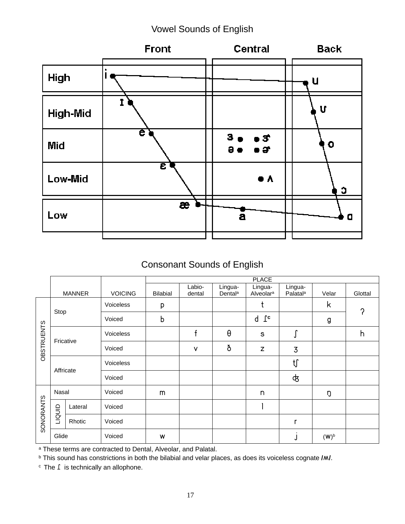### Vowel Sounds of English



### Consonant Sounds of English

|                   |           |               |                | <b>PLACE</b>    |                  |                                |                                  |                                 |         |         |  |  |  |  |  |  |  |
|-------------------|-----------|---------------|----------------|-----------------|------------------|--------------------------------|----------------------------------|---------------------------------|---------|---------|--|--|--|--|--|--|--|
|                   |           | <b>MANNER</b> | <b>VOICING</b> | <b>Bilabial</b> | Labio-<br>dental | Lingua-<br>Dental <sup>a</sup> | Lingua-<br>Alveolar <sup>a</sup> | Lingua-<br>Palatal <sup>a</sup> | Velar   | Glottal |  |  |  |  |  |  |  |
|                   |           |               | Voiceless      | p               |                  |                                | t                                |                                 | k       | Ω       |  |  |  |  |  |  |  |
|                   | Stop      |               | Voiced         | b               |                  |                                | $\mathsf{T}^\mathtt{c}$<br>d     |                                 | g       |         |  |  |  |  |  |  |  |
| <b>OBSTRUENTS</b> |           |               | Voiceless      |                 | f                | θ                              | $\mathbb S$                      | r<br>J                          |         | h       |  |  |  |  |  |  |  |
|                   |           | Fricative     | Voiced         |                 | $\vee$           | ð                              | Z                                | 3                               |         |         |  |  |  |  |  |  |  |
|                   | Affricate |               | Voiceless      |                 |                  |                                |                                  | $t$ ∫                           |         |         |  |  |  |  |  |  |  |
|                   |           |               | Voiced         |                 |                  |                                |                                  | क्                              |         |         |  |  |  |  |  |  |  |
|                   | Nasal     |               | Voiced         | m               |                  |                                | n                                |                                 | ŋ       |         |  |  |  |  |  |  |  |
| SONORANTS         | TIQUID    | Lateral       | Voiced         |                 |                  |                                |                                  |                                 |         |         |  |  |  |  |  |  |  |
|                   |           | Rhotic        | Voiced         |                 |                  |                                |                                  | $\mathsf{r}$                    |         |         |  |  |  |  |  |  |  |
|                   | Glide     |               | Voiced         | W               |                  |                                |                                  | J                               | $(W)^b$ |         |  |  |  |  |  |  |  |

a These terms are contracted to Dental, Alveolar, and Palatal.

b This sound has constrictions in both the bilabial and velar places, as does its voiceless cognate **/ñ/**.

c The **`** is technically an allophone.